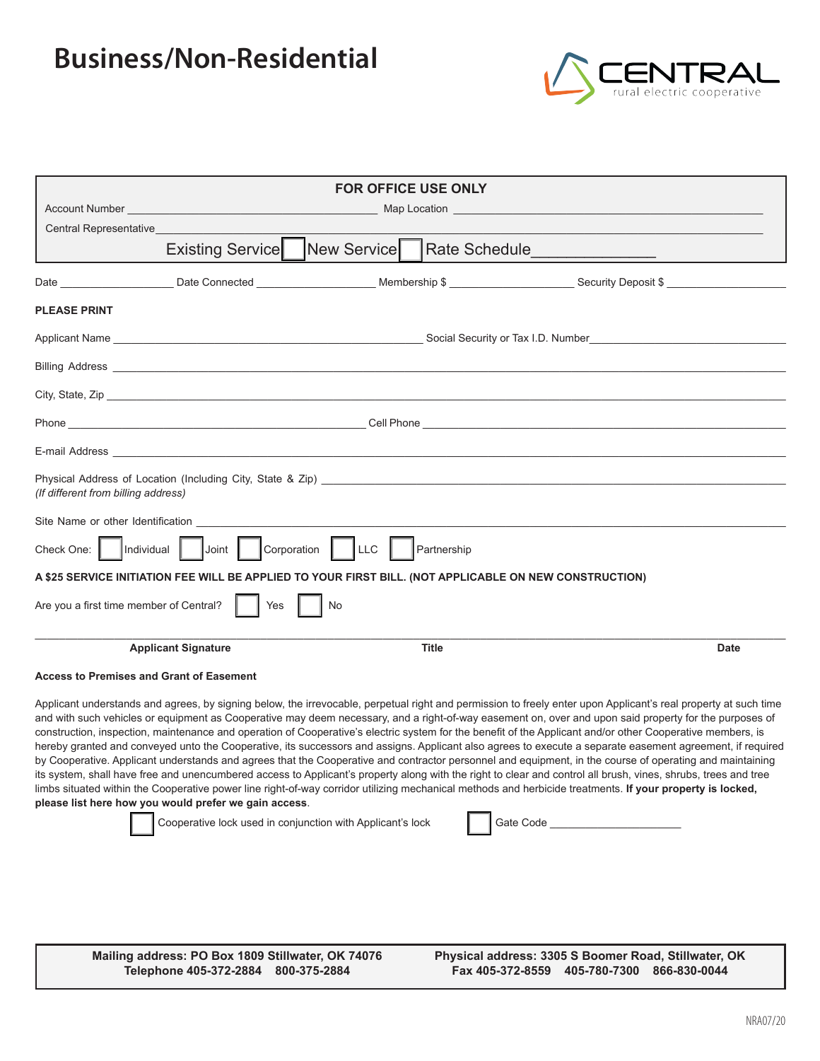## **Business/Non-Residential**



| <b>FOR OFFICE USE ONLY</b>                                               |                                                                                                                                                                                                                                                                                                                                                                                                                                                                        |    |              |                                                                                                                                                                                                                                                                                                                                                                                                                                                                                                                                                                                                                                                                                                                                                                                                                                                                                                                                                                                                                                                                                                                                                 |             |
|--------------------------------------------------------------------------|------------------------------------------------------------------------------------------------------------------------------------------------------------------------------------------------------------------------------------------------------------------------------------------------------------------------------------------------------------------------------------------------------------------------------------------------------------------------|----|--------------|-------------------------------------------------------------------------------------------------------------------------------------------------------------------------------------------------------------------------------------------------------------------------------------------------------------------------------------------------------------------------------------------------------------------------------------------------------------------------------------------------------------------------------------------------------------------------------------------------------------------------------------------------------------------------------------------------------------------------------------------------------------------------------------------------------------------------------------------------------------------------------------------------------------------------------------------------------------------------------------------------------------------------------------------------------------------------------------------------------------------------------------------------|-------------|
|                                                                          | Account Number and the contract of the contract of the contract of the contract of the contract of the contract of the contract of the contract of the contract of the contract of the contract of the contract of the contrac<br>Map Location <b>And Additional Contract of Additional Contract of Additional Contract of Additional Contract of Additional Contract of Additional Contract of Additional Contract of Additional Contract of Additional Contract </b> |    |              |                                                                                                                                                                                                                                                                                                                                                                                                                                                                                                                                                                                                                                                                                                                                                                                                                                                                                                                                                                                                                                                                                                                                                 |             |
| Central Representative <b>Central</b>                                    |                                                                                                                                                                                                                                                                                                                                                                                                                                                                        |    |              |                                                                                                                                                                                                                                                                                                                                                                                                                                                                                                                                                                                                                                                                                                                                                                                                                                                                                                                                                                                                                                                                                                                                                 |             |
|                                                                          | Existing Service   New Service                                                                                                                                                                                                                                                                                                                                                                                                                                         |    |              |                                                                                                                                                                                                                                                                                                                                                                                                                                                                                                                                                                                                                                                                                                                                                                                                                                                                                                                                                                                                                                                                                                                                                 |             |
|                                                                          |                                                                                                                                                                                                                                                                                                                                                                                                                                                                        |    |              |                                                                                                                                                                                                                                                                                                                                                                                                                                                                                                                                                                                                                                                                                                                                                                                                                                                                                                                                                                                                                                                                                                                                                 |             |
| <b>PLEASE PRINT</b>                                                      |                                                                                                                                                                                                                                                                                                                                                                                                                                                                        |    |              |                                                                                                                                                                                                                                                                                                                                                                                                                                                                                                                                                                                                                                                                                                                                                                                                                                                                                                                                                                                                                                                                                                                                                 |             |
|                                                                          |                                                                                                                                                                                                                                                                                                                                                                                                                                                                        |    |              |                                                                                                                                                                                                                                                                                                                                                                                                                                                                                                                                                                                                                                                                                                                                                                                                                                                                                                                                                                                                                                                                                                                                                 |             |
|                                                                          |                                                                                                                                                                                                                                                                                                                                                                                                                                                                        |    |              |                                                                                                                                                                                                                                                                                                                                                                                                                                                                                                                                                                                                                                                                                                                                                                                                                                                                                                                                                                                                                                                                                                                                                 |             |
|                                                                          |                                                                                                                                                                                                                                                                                                                                                                                                                                                                        |    |              |                                                                                                                                                                                                                                                                                                                                                                                                                                                                                                                                                                                                                                                                                                                                                                                                                                                                                                                                                                                                                                                                                                                                                 |             |
|                                                                          |                                                                                                                                                                                                                                                                                                                                                                                                                                                                        |    |              |                                                                                                                                                                                                                                                                                                                                                                                                                                                                                                                                                                                                                                                                                                                                                                                                                                                                                                                                                                                                                                                                                                                                                 |             |
|                                                                          |                                                                                                                                                                                                                                                                                                                                                                                                                                                                        |    |              |                                                                                                                                                                                                                                                                                                                                                                                                                                                                                                                                                                                                                                                                                                                                                                                                                                                                                                                                                                                                                                                                                                                                                 |             |
| (If different from billing address)                                      |                                                                                                                                                                                                                                                                                                                                                                                                                                                                        |    |              | Physical Address of Location (Including City, State & Zip) <b>Example 2018</b> 2019 12:00:00 Physical Address of Location (Including City, State & Zip)                                                                                                                                                                                                                                                                                                                                                                                                                                                                                                                                                                                                                                                                                                                                                                                                                                                                                                                                                                                         |             |
|                                                                          |                                                                                                                                                                                                                                                                                                                                                                                                                                                                        |    |              |                                                                                                                                                                                                                                                                                                                                                                                                                                                                                                                                                                                                                                                                                                                                                                                                                                                                                                                                                                                                                                                                                                                                                 |             |
| Check One:    Individual    Joint    Corporation    LLC  <br>Partnership |                                                                                                                                                                                                                                                                                                                                                                                                                                                                        |    |              |                                                                                                                                                                                                                                                                                                                                                                                                                                                                                                                                                                                                                                                                                                                                                                                                                                                                                                                                                                                                                                                                                                                                                 |             |
|                                                                          |                                                                                                                                                                                                                                                                                                                                                                                                                                                                        |    |              | A \$25 SERVICE INITIATION FEE WILL BE APPLIED TO YOUR FIRST BILL. (NOT APPLICABLE ON NEW CONSTRUCTION)                                                                                                                                                                                                                                                                                                                                                                                                                                                                                                                                                                                                                                                                                                                                                                                                                                                                                                                                                                                                                                          |             |
| Are you a first time member of Central?                                  | Yes                                                                                                                                                                                                                                                                                                                                                                                                                                                                    | No |              |                                                                                                                                                                                                                                                                                                                                                                                                                                                                                                                                                                                                                                                                                                                                                                                                                                                                                                                                                                                                                                                                                                                                                 |             |
|                                                                          | <b>Applicant Signature</b>                                                                                                                                                                                                                                                                                                                                                                                                                                             |    | <b>Title</b> |                                                                                                                                                                                                                                                                                                                                                                                                                                                                                                                                                                                                                                                                                                                                                                                                                                                                                                                                                                                                                                                                                                                                                 | <b>Date</b> |
| <b>Access to Premises and Grant of Easement</b>                          |                                                                                                                                                                                                                                                                                                                                                                                                                                                                        |    |              |                                                                                                                                                                                                                                                                                                                                                                                                                                                                                                                                                                                                                                                                                                                                                                                                                                                                                                                                                                                                                                                                                                                                                 |             |
|                                                                          | please list here how you would prefer we gain access.<br>Cooperative lock used in conjunction with Applicant's lock                                                                                                                                                                                                                                                                                                                                                    |    |              | Applicant understands and agrees, by signing below, the irrevocable, perpetual right and permission to freely enter upon Applicant's real property at such time<br>and with such vehicles or equipment as Cooperative may deem necessary, and a right-of-way easement on, over and upon said property for the purposes of<br>construction, inspection, maintenance and operation of Cooperative's electric system for the benefit of the Applicant and/or other Cooperative members, is<br>hereby granted and conveyed unto the Cooperative, its successors and assigns. Applicant also agrees to execute a separate easement agreement, if required<br>by Cooperative. Applicant understands and agrees that the Cooperative and contractor personnel and equipment, in the course of operating and maintaining<br>its system, shall have free and unencumbered access to Applicant's property along with the right to clear and control all brush, vines, shrubs, trees and tree<br>limbs situated within the Cooperative power line right-of-way corridor utilizing mechanical methods and herbicide treatments. If your property is locked, |             |

**Mailing address: PO Box 1809 Stillwater, OK 74076 Telephone 405-372-2884 800-375-2884**

**Physical address: 3305 S Boomer Road, Stillwater, OK Fax 405-372-8559 405-780-7300 866-830-0044**